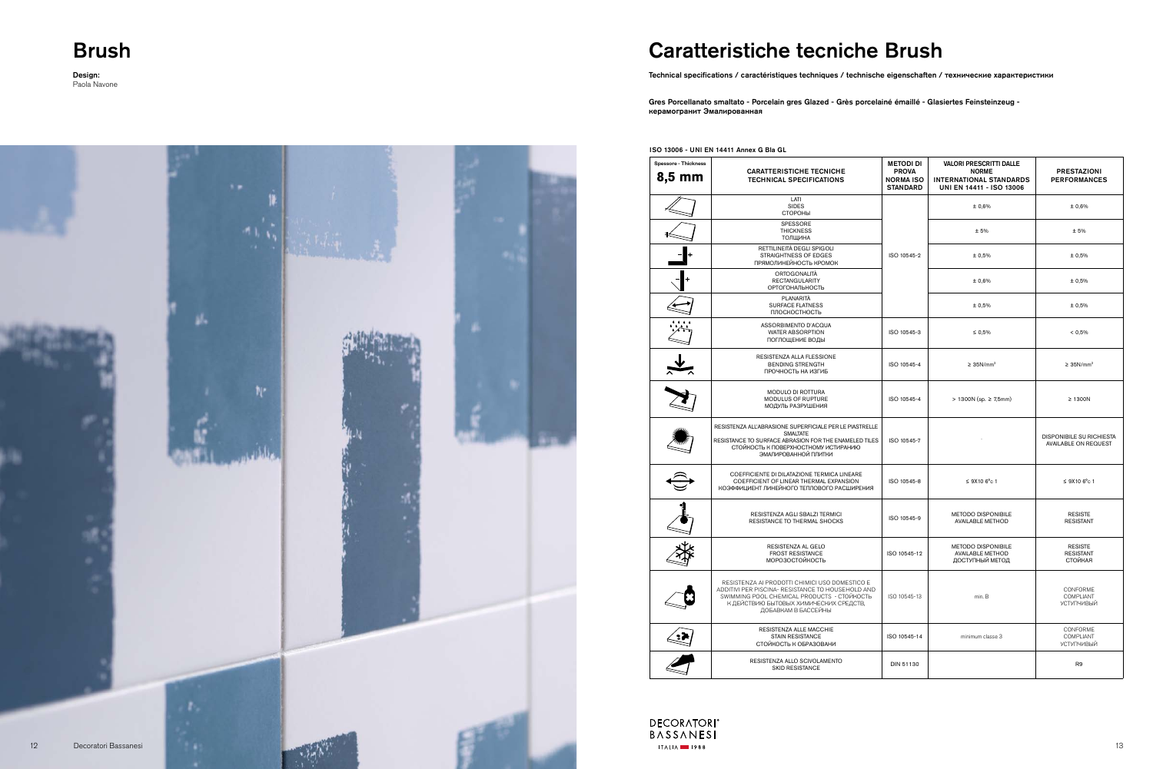### **Brush**

**Design:**<br>Paola Navone

## **Caratteristiche tecniche Brush**

**DECORATORI**<sup>®</sup> BASSANESI

 $ITALIA$  1988

Technical specifications / caractéristiques techniques / technische eigenschaften / технические характеристики

Gres Porcellanato smaltato - Porcelain gres Glazed - Grès porcelainé émaillé - Glasiertes Feinsteinzeug керамогранит Эмалированная



| <b>Spessore - Thickness</b><br>8,5 mm | <b>CARATTERISTICHE TECNICHE</b><br><b>TECHNICAL SPECIFICATIONS</b>                                                                                                                                                  | <b>METODI DI</b><br><b>PROVA</b><br><b>NORMA ISO</b><br><b>STANDARD</b> | <b>VALORI PRESCRITTI DALLE</b><br><b>NORME</b><br><b>INTERNATIONAL STANDARDS</b><br>UNI EN 14411 - ISO 13006 | <b>PRESTAZIONI</b><br><b>PERFORMANCES</b>        |
|---------------------------------------|---------------------------------------------------------------------------------------------------------------------------------------------------------------------------------------------------------------------|-------------------------------------------------------------------------|--------------------------------------------------------------------------------------------------------------|--------------------------------------------------|
|                                       | LATI<br><b>SIDES</b><br>СТОРОНЫ                                                                                                                                                                                     | ISO 10545-2                                                             | ± 0,6%                                                                                                       | ± 0,6%                                           |
|                                       | <b>SPESSORE</b><br><b>THICKNESS</b><br><b>ТОЛЩИНА</b>                                                                                                                                                               |                                                                         | ± 5%                                                                                                         | ±5%                                              |
|                                       | RETTILINEITÀ DEGLI SPIGOLI<br>STRAIGHTNESS OF EDGES<br>ПРЯМОЛИНЕЙНОСТЬ КРОМОК                                                                                                                                       |                                                                         | ± 0,5%                                                                                                       | ± 0,5%                                           |
|                                       | ORTOGONALITÀ<br><b>RECTANGULARITY</b><br>ОРТОГОНАЛЬНОСТЬ                                                                                                                                                            |                                                                         | ± 0,6%                                                                                                       | ± 0,5%                                           |
|                                       | PLANARITÀ<br><b>SURFACE FLATNESS</b><br>ПЛОСКОСТНОСТЬ                                                                                                                                                               |                                                                         | ± 0,5%                                                                                                       | ± 0,5%                                           |
|                                       | ASSORBIMENTO D'ACQUA<br><b>WATER ABSORPTION</b><br>ПОГЛОЩЕНИЕ ВОДЫ                                                                                                                                                  | ISO 10545-3                                                             | $\leq 0.5\%$                                                                                                 | < 0.5%                                           |
|                                       | RESISTENZA ALLA FLESSIONE<br><b>BENDING STRENGTH</b><br>ПРОЧНОСТЬ НА ИЗГИБ                                                                                                                                          | ISO 10545-4                                                             | $\geq 35$ N/mm <sup>2</sup>                                                                                  | $\geq$ 35N/mm <sup>2</sup>                       |
|                                       | MODULO DI ROTTURA<br><b>MODULUS OF RUPTURE</b><br>МОДУЛЬ РАЗРУШЕНИЯ                                                                                                                                                 | ISO 10545-4                                                             | > 1300N (sp. ≥ 7,5mm)                                                                                        | $\geq$ 1300N                                     |
|                                       | RESISTENZA ALL'ABRASIONE SUPERFICIALE PER LE PIASTRELLE<br><b>SMALTATE</b><br>RESISTANCE TO SURFACE ABRASION FOR THE ENAMELED TILES<br>СТОЙКОСТЬ К ПОВЕРХНОСТНОМУ ИСТИРАНИЮ<br>ЭМАЛИРОВАННОЙ ПЛИТКИ                 | ISO 10545-7                                                             |                                                                                                              | DISPONIBILE SU RICHIESTA<br>AVAILABLE ON REQUEST |
|                                       | COEFFICIENTE DI DILATAZIONE TERMICA LINEARE<br>COEFFICIENT OF LINEAR THERMAL EXPANSION<br>КОЭФФИЦИЕНТ ЛИНЕЙНОГО ТЕПЛОВОГО РАСШИРЕНИЯ                                                                                | ISO 10545-8                                                             | $≤$ 9X10 6 $^{\circ}$ c 1                                                                                    | $≤$ 9X10 6 $^{\circ}$ c 1                        |
|                                       | RESISTENZA AGLI SBALZI TERMICI<br>RESISTANCE TO THERMAL SHOCKS                                                                                                                                                      | ISO 10545-9                                                             | <b>METODO DISPONIBILE</b><br><b>AVAILABLE METHOD</b>                                                         | <b>RESISTE</b><br><b>RESISTANT</b>               |
|                                       | RESISTENZA AL GELO<br><b>FROST RESISTANCE</b><br><b>МОРОЗОСТОЙКОСТЬ</b>                                                                                                                                             | ISO 10545-12                                                            | METODO DISPONIBILE<br><b>AVAILABLE METHOD</b><br>ДОСТУПНЫЙ МЕТОД                                             | <b>RESISTE</b><br><b>RESISTANT</b><br>СТОЙКАЯ    |
|                                       | RESISTENZA AI PRODOTTI CHIMICI USO DOMESTICO E<br>ADDITIVI PER PISCINA- RESISTANCE TO HOUSEHOLD AND<br>SWIMMING POOL CHEMICAL PRODUCTS - CTOЙKOCTЬ<br>К ДЕЙСТВИЮ БЫТОВЫХ ХИМИЧЕСКИХ СРЕДСТВ,<br>ДОБАВКАМ В БАССЕЙНЫ | ISO 10545-13                                                            | min. B                                                                                                       | CONFORME<br>COMPLIANT<br><b>УСТУПЧИВЫЙ</b>       |
|                                       | RESISTENZA ALLE MACCHIE<br><b>STAIN RESISTANCE</b><br>СТОЙКОСТЬ К ОБРАЗОВАНИ                                                                                                                                        | ISO 10545-14                                                            | minimum classe 3                                                                                             | CONFORME<br>COMPLIANT<br><b>УСТУПЧИВЫЙ</b>       |
|                                       | RESISTENZA ALLO SCIVOLAMENTO<br>SKID RESISTANCE                                                                                                                                                                     | DIN 51130                                                               |                                                                                                              | R <sub>9</sub>                                   |